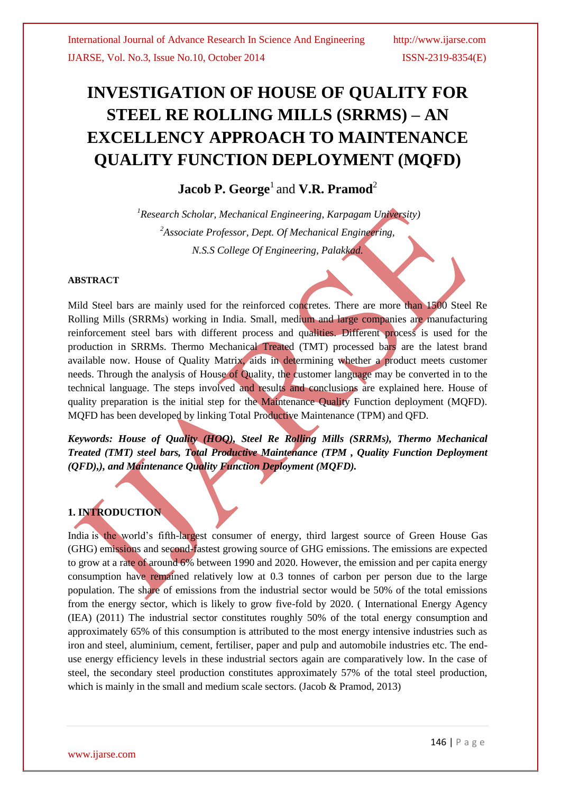# **INVESTIGATION OF HOUSE OF QUALITY FOR STEEL RE ROLLING MILLS (SRRMS) – AN EXCELLENCY APPROACH TO MAINTENANCE QUALITY FUNCTION DEPLOYMENT (MQFD)**

# **Jacob P. George<sup>1</sup>** and **V.R. Pramod**<sup>2</sup>

*<sup>1</sup>Research Scholar, Mechanical Engineering, Karpagam University) 2 Associate Professor, Dept. Of Mechanical Engineering, N.S.S College Of Engineering, Palakkad.*

#### **ABSTRACT**

Mild Steel bars are mainly used for the reinforced concretes. There are more than 1500 Steel Re Rolling Mills (SRRMs) working in India. Small, medium and large companies are manufacturing reinforcement steel bars with different process and qualities. Different process is used for the production in SRRMs. Thermo Mechanical Treated (TMT) processed bars are the latest brand available now. House of Quality Matrix, aids in determining whether a product meets customer needs. Through the analysis of House of Quality, the customer language may be converted in to the technical language. The steps involved and results and conclusions are explained here. House of quality preparation is the initial step for the Maintenance Quality Function deployment (MQFD). MQFD has been developed by linking Total Productive Maintenance (TPM) and QFD.

*Keywords: House of Quality (HOQ), Steel Re Rolling Mills (SRRMs), Thermo Mechanical Treated (TMT) steel bars, Total Productive Maintenance (TPM , Quality Function Deployment (QFD),), and Maintenance Quality Function Deployment (MQFD).*

# **1. INTRODUCTION**

India is the world's fifth-largest consumer of energy, third largest source of Green House Gas (GHG) emissions and second-fastest growing source of GHG emissions. The emissions are expected to grow at a rate of around 6% between 1990 and 2020. However, the emission and per capita energy consumption have remained relatively low at 0.3 tonnes of carbon per person due to the large population. The share of emissions from the industrial sector would be 50% of the total emissions from the energy sector, which is likely to grow five-fold by 2020. ( International Energy Agency (IEA) (2011) The industrial sector constitutes roughly 50% of the total energy consumption and approximately 65% of this consumption is attributed to the most energy intensive industries such as iron and steel, aluminium, cement, fertiliser, paper and pulp and automobile industries etc. The enduse energy efficiency levels in these industrial sectors again are comparatively low. In the case of steel, the secondary steel production constitutes approximately 57% of the total steel production, which is mainly in the small and medium scale sectors. (Jacob & Pramod, 2013)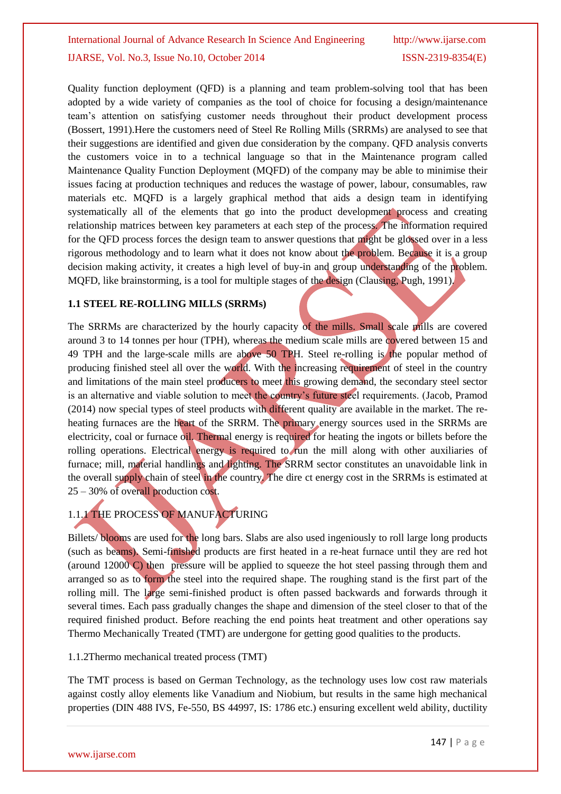Quality function deployment (QFD) is a planning and team problem-solving tool that has been adopted by a wide variety of companies as the tool of choice for focusing a design/maintenance team's attention on satisfying customer needs throughout their product development process (Bossert, 1991).Here the customers need of Steel Re Rolling Mills (SRRMs) are analysed to see that their suggestions are identified and given due consideration by the company. QFD analysis converts the customers voice in to a technical language so that in the Maintenance program called Maintenance Quality Function Deployment (MQFD) of the company may be able to minimise their issues facing at production techniques and reduces the wastage of power, labour, consumables, raw materials etc. MQFD is a largely graphical method that aids a design team in identifying systematically all of the elements that go into the product development process and creating relationship matrices between key parameters at each step of the process. The information required for the QFD process forces the design team to answer questions that might be glossed over in a less rigorous methodology and to learn what it does not know about the problem. Because it is a group decision making activity, it creates a high level of buy-in and group understanding of the problem. MQFD, like brainstorming, is a tool for multiple stages of the design (Clausing, Pugh, 1991).

#### **1.1 STEEL RE-ROLLING MILLS (SRRMs)**

The SRRMs are characterized by the hourly capacity of the mills. Small scale mills are covered around 3 to 14 tonnes per hour (TPH), whereas the medium scale mills are covered between 15 and 49 TPH and the large-scale mills are above 50 TPH. Steel re-rolling is the popular method of producing finished steel all over the world. With the increasing requirement of steel in the country and limitations of the main steel producers to meet this growing demand, the secondary steel sector is an alternative and viable solution to meet the country's future steel requirements. (Jacob, Pramod (2014) now special types of steel products with different quality are available in the market. The reheating furnaces are the heart of the SRRM. The primary energy sources used in the SRRMs are electricity, coal or furnace oil. Thermal energy is required for heating the ingots or billets before the rolling operations. Electrical energy is required to run the mill along with other auxiliaries of furnace; mill, material handlings and lighting. The SRRM sector constitutes an unavoidable link in the overall supply chain of steel in the country. The dire ct energy cost in the SRRMs is estimated at 25 – 30% of overall production cost.

# 1.1.1 THE PROCESS OF MANUFACTURING

Billets/ blooms are used for the long bars. Slabs are also used ingeniously to roll large long products (such as beams). Semi-finished products are first heated in a re-heat furnace until they are red hot (around 12000 C) then pressure will be applied to squeeze the hot steel passing through them and arranged so as to form the steel into the required shape. The roughing stand is the first part of the rolling mill. The large semi-finished product is often passed backwards and forwards through it several times. Each pass gradually changes the shape and dimension of the steel closer to that of the required finished product. Before reaching the end points heat treatment and other operations say Thermo Mechanically Treated (TMT) are undergone for getting good qualities to the products.

#### 1.1.2Thermo mechanical treated process (TMT)

The TMT process is based on German Technology, as the technology uses low cost raw materials against costly alloy elements like Vanadium and Niobium, but results in the same high mechanical properties (DIN 488 IVS, Fe-550, BS 44997, IS: 1786 etc.) ensuring excellent weld ability, ductility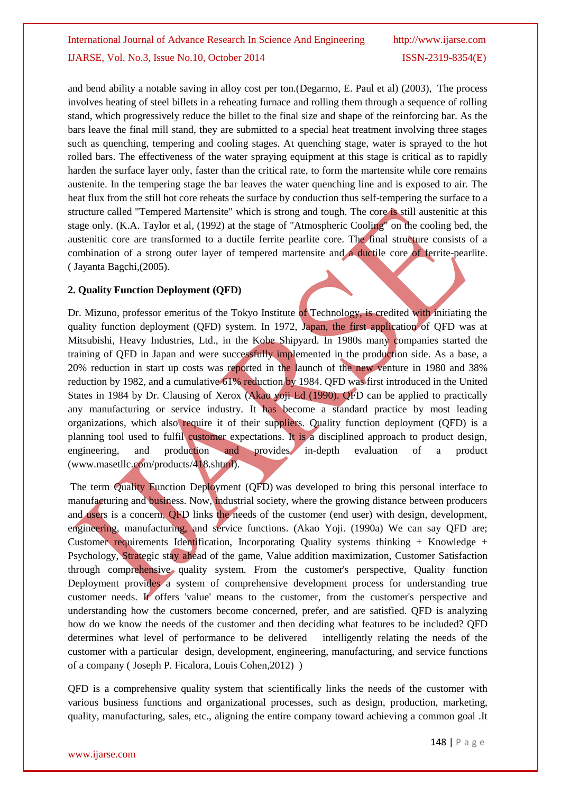and bend ability a notable saving in alloy cost per ton.(Degarmo, E. Paul et al) (2003), The process involves heating of steel billets in a reheating furnace and rolling them through a sequence of rolling stand, which progressively reduce the billet to the final size and shape of the reinforcing bar. As the bars leave the final mill stand, they are submitted to a special heat treatment involving three stages such as quenching, tempering and cooling stages. At quenching stage, water is sprayed to the hot rolled bars. The effectiveness of the water spraying equipment at this stage is critical as to rapidly harden the surface layer only, faster than the critical rate, to form the martensite while core remains austenite. In the tempering stage the bar leaves the water quenching line and is exposed to air. The heat flux from the still hot core reheats the surface by conduction thus self-tempering the surface to a structure called "Tempered Martensite" which is strong and tough. The core is still austenitic at this stage only. (K.A. Taylor et al, (1992) at the stage of "Atmospheric Cooling" on the cooling bed, the austenitic core are transformed to a ductile ferrite pearlite core. The final structure consists of a combination of a strong outer layer of tempered martensite and a ductile core of ferrite-pearlite. ( Jayanta Bagchi,(2005).

### **2. Quality Function Deployment (QFD)**

Dr. Mizuno, professor emeritus of the Tokyo Institute of Technology, is credited with initiating the quality function deployment (QFD) system. In 1972, Japan, the first application of QFD was at Mitsubishi, Heavy Industries, Ltd., in the Kobe Shipyard. In 1980s many companies started the training of QFD in Japan and were successfully implemented in the production side. As a base, a 20% reduction in start up costs was reported in the launch of the new venture in 1980 and 38% reduction by 1982, and a cumulative 61% reduction by 1984. QFD was first introduced in the United States in 1984 by Dr. Clausing of Xerox (Akao yoji Ed (1990). QFD can be applied to practically any manufacturing or service industry. It has become a standard practice by most leading organizations, which also require it of their suppliers. Quality function deployment (QFD) is a planning tool used to fulfil customer expectations. It is a disciplined approach to product design, engineering, and production and provides in-depth evaluation of a product (www.masetllc.com/products/418.shtml).

The term Quality Function Deployment (QFD) was developed to bring this personal interface to manufacturing and business. Now, industrial society, where the growing distance between producers and users is a concern, QFD links the needs of the customer (end user) with design, development, engineering, manufacturing, and service functions. (Akao Yoji. (1990a) We can say QFD are; Customer requirements Identification, Incorporating Quality systems thinking + Knowledge + Psychology, Strategic stay ahead of the game, Value addition maximization, Customer Satisfaction through comprehensive quality system. From the customer's perspective, Quality function Deployment provides a system of comprehensive development process for understanding true customer needs. It offers 'value' means to the customer, from the customer's perspective and understanding how the customers become concerned, prefer, and are satisfied. QFD is analyzing how do we know the needs of the customer and then deciding what features to be included? QFD determines what level of performance to be delivered intelligently relating the needs of the customer with a particular design, development, engineering, manufacturing, and service functions of a company ( Joseph P. Ficalora, Louis Cohen,2012) )

QFD is a comprehensive quality system that scientifically links the needs of the customer with various business functions and organizational processes, such as design, production, marketing, quality, manufacturing, sales, etc., aligning the entire company toward achieving a common goal .It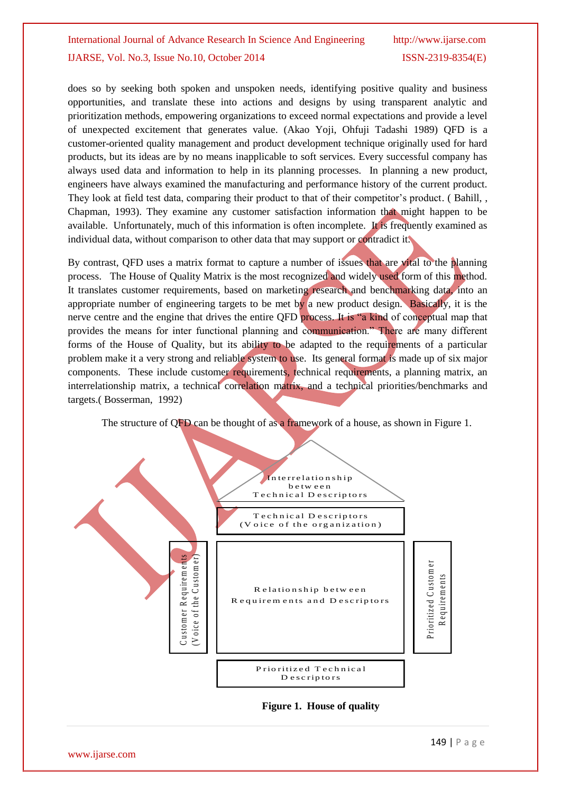does so by seeking both spoken and unspoken needs, identifying positive quality and business opportunities, and translate these into actions and designs by using transparent analytic and prioritization methods, empowering organizations to exceed normal expectations and provide a level of unexpected excitement that generates value. (Akao Yoji, Ohfuji Tadashi 1989) QFD is a customer-oriented quality management and product development technique originally used for hard products, but its ideas are by no means inapplicable to soft services. Every successful company has always used data and information to help in its planning processes. In planning a new product, engineers have always examined the manufacturing and performance history of the current product. They look at field test data, comparing their product to that of their competitor's product. ( Bahill, , Chapman, 1993). They examine any customer satisfaction information that might happen to be available. Unfortunately, much of this information is often incomplete. It is frequently examined as individual data, without comparison to other data that may support or contradict it.

By contrast, QFD uses a matrix format to capture a number of issues that are vital to the planning process. The House of Quality Matrix is the most recognized and widely used form of this method. It translates customer requirements, based on marketing research and benchmarking data, into an appropriate number of engineering targets to be met by a new product design. Basically, it is the nerve centre and the engine that drives the entire QFD process. It is "a kind of conceptual map that provides the means for inter functional planning and communication." There are many different forms of the House of Quality, but its ability to be adapted to the requirements of a particular problem make it a very strong and reliable system to use. Its general format is made up of six major components. These include customer requirements, technical requirements, a planning matrix, an interrelationship matrix, a technical correlation matrix, and a technical priorities/benchmarks and targets.( Bosserman, 1992)

The structure of QFD can be thought of as a framework of a house, as shown in Figure 1.

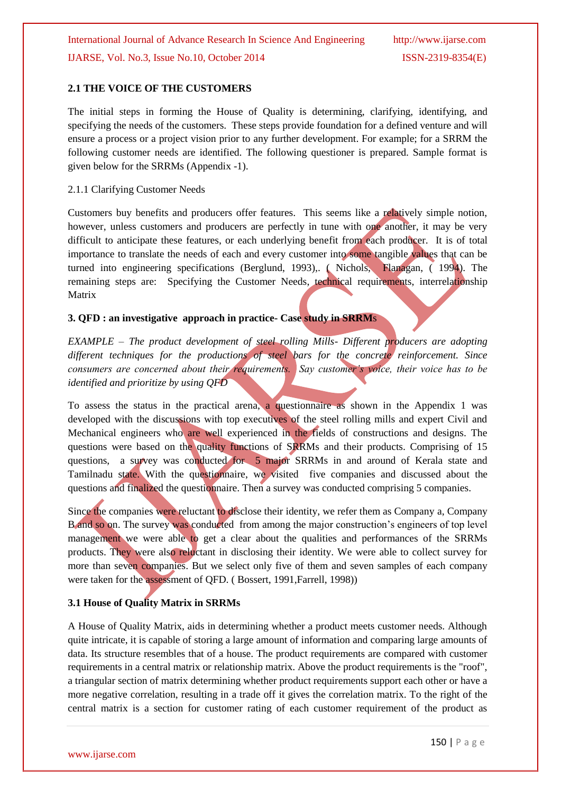## **2.1 THE VOICE OF THE CUSTOMERS**

The initial steps in forming the House of Quality is determining, clarifying, identifying, and specifying the needs of the customers. These steps provide foundation for a defined venture and will ensure a process or a project vision prior to any further development. For example; for a SRRM the following customer needs are identified. The following questioner is prepared. Sample format is given below for the SRRMs (Appendix -1).

#### 2.1.1 Clarifying Customer Needs

Customers buy benefits and producers offer features. This seems like a relatively simple notion, however, unless customers and producers are perfectly in tune with one another, it may be very difficult to anticipate these features, or each underlying benefit from each producer. It is of total importance to translate the needs of each and every customer into some tangible values that can be turned into engineering specifications (Berglund, 1993),. ( Nichols, Flanagan, ( 1994). The remaining steps are: Specifying the Customer Needs, technical requirements, interrelationship Matrix

### **3. QFD : an investigative approach in practice- Case study in SRRM**s

*EXAMPLE – The product development of steel rolling Mills- Different producers are adopting different techniques for the productions of steel bars for the concrete reinforcement. Since consumers are concerned about their requirements. Say customer's voice, their voice has to be identified and prioritize by using QFD*

To assess the status in the practical arena, a questionnaire as shown in the Appendix 1 was developed with the discussions with top executives of the steel rolling mills and expert Civil and Mechanical engineers who are well experienced in the fields of constructions and designs. The questions were based on the quality functions of SRRMs and their products. Comprising of 15 questions, a survey was conducted for 5 major SRRMs in and around of Kerala state and Tamilnadu state. With the questionnaire, we visited five companies and discussed about the questions and finalized the questionnaire. Then a survey was conducted comprising 5 companies.

Since the companies were reluctant to disclose their identity, we refer them as Company a, Company B and so on. The survey was conducted from among the major construction's engineers of top level management we were able to get a clear about the qualities and performances of the SRRMs products. They were also reluctant in disclosing their identity. We were able to collect survey for more than seven companies. But we select only five of them and seven samples of each company were taken for the assessment of QFD. ( Bossert, 1991,Farrell, 1998))

# **3.1 House of Quality Matrix in SRRMs**

A House of Quality Matrix, aids in determining whether a product meets customer needs. Although quite intricate, it is capable of storing a large amount of information and comparing large amounts of data. Its structure resembles that of a house. The product requirements are compared with customer requirements in a central matrix or relationship matrix. Above the product requirements is the "roof", a triangular section of matrix determining whether product requirements support each other or have a more negative correlation, resulting in a trade off it gives the correlation matrix. To the right of the central matrix is a section for customer rating of each customer requirement of the product as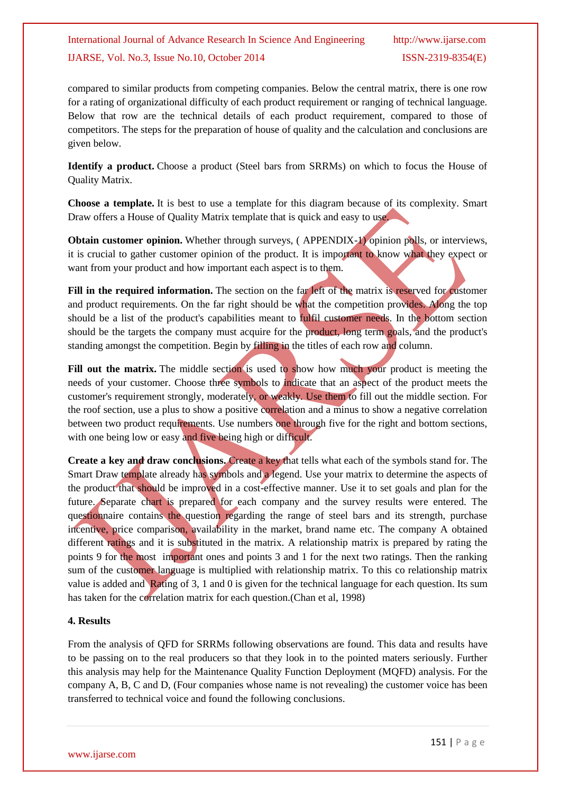compared to similar products from competing companies. Below the central matrix, there is one row for a rating of organizational difficulty of each product requirement or ranging of technical language. Below that row are the technical details of each product requirement, compared to those of competitors. The steps for the preparation of house of quality and the calculation and conclusions are given below.

**Identify a product.** Choose a product (Steel bars from SRRMs) on which to focus the House of Quality Matrix.

**Choose a template.** It is best to use a template for this diagram because of its complexity. Smart Draw offers a House of Quality Matrix template that is quick and easy to use.

**Obtain customer opinion.** Whether through surveys, (APPENDIX-1) opinion polls, or interviews, it is crucial to gather customer opinion of the product. It is important to know what they expect or want from your product and how important each aspect is to them.

**Fill in the required information.** The section on the far left of the matrix is reserved for customer and product requirements. On the far right should be what the competition provides. Along the top should be a list of the product's capabilities meant to fulfil customer needs. In the bottom section should be the targets the company must acquire for the product, long term goals, and the product's standing amongst the competition. Begin by filling in the titles of each row and column.

Fill out the matrix. The middle section is used to show how much your product is meeting the needs of your customer. Choose three symbols to indicate that an aspect of the product meets the customer's requirement strongly, moderately, or weakly. Use them to fill out the middle section. For the roof section, use a plus to show a positive correlation and a minus to show a negative correlation between two product requirements. Use numbers one through five for the right and bottom sections, with one being low or easy and five being high or difficult.

**Create a key and draw conclusions.** Create a key that tells what each of the symbols stand for. The Smart Draw template already has symbols and a legend. Use your matrix to determine the aspects of the product that should be improved in a cost-effective manner. Use it to set goals and plan for the future. Separate chart is prepared for each company and the survey results were entered. The questionnaire contains the question regarding the range of steel bars and its strength, purchase incentive, price comparison, availability in the market, brand name etc. The company A obtained different ratings and it is substituted in the matrix. A relationship matrix is prepared by rating the points 9 for the most important ones and points 3 and 1 for the next two ratings. Then the ranking sum of the customer language is multiplied with relationship matrix. To this co relationship matrix value is added and Rating of 3, 1 and 0 is given for the technical language for each question. Its sum has taken for the correlation matrix for each question.(Chan et al, 1998)

### **4. Results**

From the analysis of QFD for SRRMs following observations are found. This data and results have to be passing on to the real producers so that they look in to the pointed maters seriously. Further this analysis may help for the Maintenance Quality Function Deployment (MQFD) analysis. For the company A, B, C and D, (Four companies whose name is not revealing) the customer voice has been transferred to technical voice and found the following conclusions.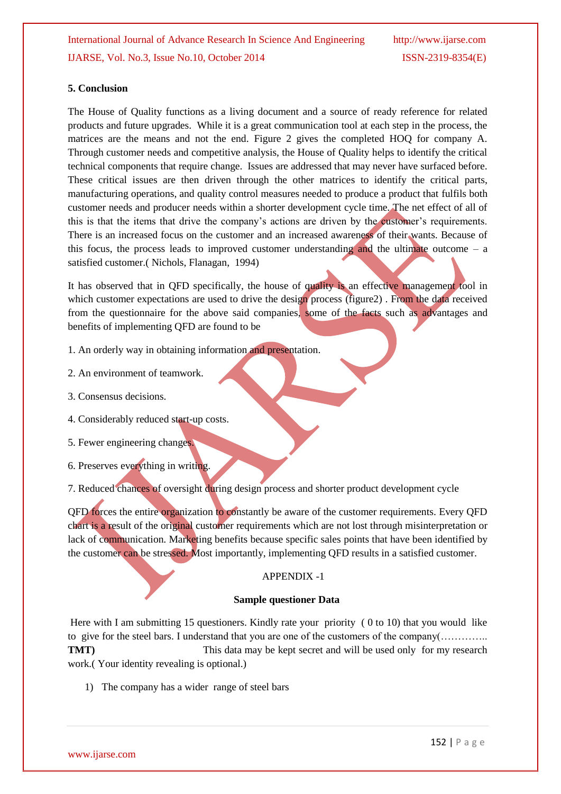#### **5. Conclusion**

The House of Quality functions as a living document and a source of ready reference for related products and future upgrades. While it is a great communication tool at each step in the process, the matrices are the means and not the end. Figure 2 gives the completed HOQ for company A. Through customer needs and competitive analysis, the House of Quality helps to identify the critical technical components that require change. Issues are addressed that may never have surfaced before. These critical issues are then driven through the other matrices to identify the critical parts, manufacturing operations, and quality control measures needed to produce a product that fulfils both customer needs and producer needs within a shorter development cycle time. The net effect of all of this is that the items that drive the company's actions are driven by the customer's requirements. There is an increased focus on the customer and an increased awareness of their wants. Because of this focus, the process leads to improved customer understanding and the ultimate outcome  $-$  a satisfied customer.( Nichols, Flanagan, 1994)

It has observed that in OFD specifically, the house of quality is an effective management tool in which customer expectations are used to drive the design process (figure2). From the data received from the questionnaire for the above said companies, some of the facts such as advantages and benefits of implementing QFD are found to be

- 1. An orderly way in obtaining information and presentation.
- 2. An environment of teamwork.
- 3. Consensus decisions.
- 4. Considerably reduced start-up costs.
- 5. Fewer engineering changes.
- 6. Preserves everything in writing.

7. Reduced chances of oversight during design process and shorter product development cycle

QFD forces the entire organization to constantly be aware of the customer requirements. Every QFD chart is a result of the original customer requirements which are not lost through misinterpretation or lack of communication. Marketing benefits because specific sales points that have been identified by the customer can be stressed. Most importantly, implementing QFD results in a satisfied customer.

### APPENDIX -1

#### **Sample questioner Data**

Here with I am submitting 15 questioners. Kindly rate your priority ( 0 to 10) that you would like to give for the steel bars. I understand that you are one of the customers of the company(………….. **TMT**) This data may be kept secret and will be used only for my research work.( Your identity revealing is optional.)

1) The company has a wider range of steel bars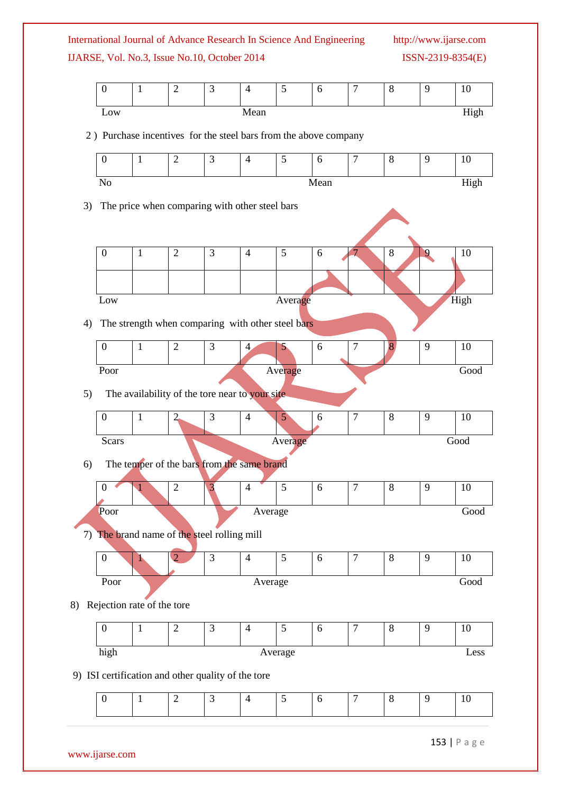| International Journal of Advance Research In Science And Engineering | http://www.ijarse.com |
|----------------------------------------------------------------------|-----------------------|
| IJARSE, Vol. No.3, Issue No.10, October 2014                         | $ISSN-2319-8354(E)$   |

http://www.ijarse.com

|                                                                  | $\boldsymbol{0}$                                   | 1                                                 | $\overline{2}$ | 3              | $\overline{4}$ | 5              | 6          | $\tau$           | 8       | 9              | 10   |
|------------------------------------------------------------------|----------------------------------------------------|---------------------------------------------------|----------------|----------------|----------------|----------------|------------|------------------|---------|----------------|------|
|                                                                  | Low                                                |                                                   |                |                | Mean           |                |            |                  |         |                | High |
| 2) Purchase incentives for the steel bars from the above company |                                                    |                                                   |                |                |                |                |            |                  |         |                |      |
|                                                                  | $\boldsymbol{0}$                                   | $\mathbf{1}$                                      | $\overline{2}$ | 3              | $\overline{4}$ | 5              | 6          | $\boldsymbol{7}$ | 8       | 9              | 10   |
|                                                                  |                                                    |                                                   |                |                |                |                |            |                  |         |                |      |
|                                                                  | High<br>N <sub>o</sub><br>Mean                     |                                                   |                |                |                |                |            |                  |         |                |      |
| The price when comparing with other steel bars<br>3)             |                                                    |                                                   |                |                |                |                |            |                  |         |                |      |
|                                                                  |                                                    |                                                   |                |                |                |                |            |                  |         |                |      |
|                                                                  | $\boldsymbol{0}$                                   | $\mathbf{1}$                                      | $\overline{2}$ | 3              | $\overline{4}$ | 5              | 6          | 7                | 8       | $\overline{9}$ | 10   |
|                                                                  |                                                    |                                                   |                |                |                |                |            |                  |         |                |      |
|                                                                  | Low                                                |                                                   |                |                |                | Average        |            |                  |         |                | High |
| 4)                                                               |                                                    | The strength when comparing with other steel bars |                |                |                |                |            |                  |         |                |      |
|                                                                  | $\boldsymbol{0}$                                   | $\mathbf{1}$                                      | $\overline{2}$ | 3              | $\overline{4}$ | 5              | 6          | $\boldsymbol{7}$ | 8       | 9              | 10   |
|                                                                  |                                                    |                                                   |                |                |                |                |            |                  |         |                |      |
|                                                                  | Good<br>Poor<br>Average                            |                                                   |                |                |                |                |            |                  |         |                |      |
| 5)                                                               | The availability of the tore near to your site.    |                                                   |                |                |                |                |            |                  |         |                |      |
|                                                                  | $\boldsymbol{0}$                                   | $\mathbf{1}$                                      | $\overline{2}$ | 3              | $\overline{4}$ | 5 <sup>°</sup> | 6          | $\boldsymbol{7}$ | $8\,$   | 9              | 10   |
|                                                                  | Scars<br>Good<br>Average                           |                                                   |                |                |                |                |            |                  |         |                |      |
| 6)                                                               |                                                    | The temper of the bars from the same brand        |                |                |                |                |            |                  |         |                |      |
|                                                                  | $\boldsymbol{0}$                                   |                                                   | $\mathbf{2}$   | 3              | $\overline{4}$ | $\mathfrak{S}$ | 6          | $\boldsymbol{7}$ | 8       | 9              | 10   |
|                                                                  | Poor                                               |                                                   |                |                | Average        |                |            |                  |         |                | Good |
|                                                                  |                                                    |                                                   |                |                |                |                |            |                  |         |                |      |
| 7) The brand name of the steel rolling mill                      |                                                    |                                                   |                |                |                |                |            |                  |         |                |      |
|                                                                  | $\boldsymbol{0}$                                   | h                                                 | $\overline{2}$ | $\mathfrak{Z}$ | $\overline{4}$ | 5              | $\sqrt{6}$ | $\overline{7}$   | 8       | 9              | 10   |
|                                                                  | Poor                                               |                                                   |                |                | Average        |                |            |                  |         |                | Good |
| Rejection rate of the tore<br>8)                                 |                                                    |                                                   |                |                |                |                |            |                  |         |                |      |
|                                                                  | $\boldsymbol{0}$                                   | $\mathbf{1}$                                      | $\overline{2}$ | 3              | $\overline{4}$ | 5              | $\sqrt{6}$ | $\overline{7}$   | 8       | 9              | 10   |
|                                                                  | high                                               |                                                   |                |                |                | Average        |            |                  |         |                | Less |
|                                                                  | 9) ISI certification and other quality of the tore |                                                   |                |                |                |                |            |                  |         |                |      |
|                                                                  |                                                    | $\mathbf{1}$                                      | $\sqrt{2}$     |                |                | $\mathfrak{S}$ |            | $\boldsymbol{7}$ | $\,8\,$ | 9              | 10   |
|                                                                  | $\boldsymbol{0}$                                   |                                                   |                | $\mathfrak{Z}$ | $\overline{4}$ |                | 6          |                  |         |                |      |

153 | P a g e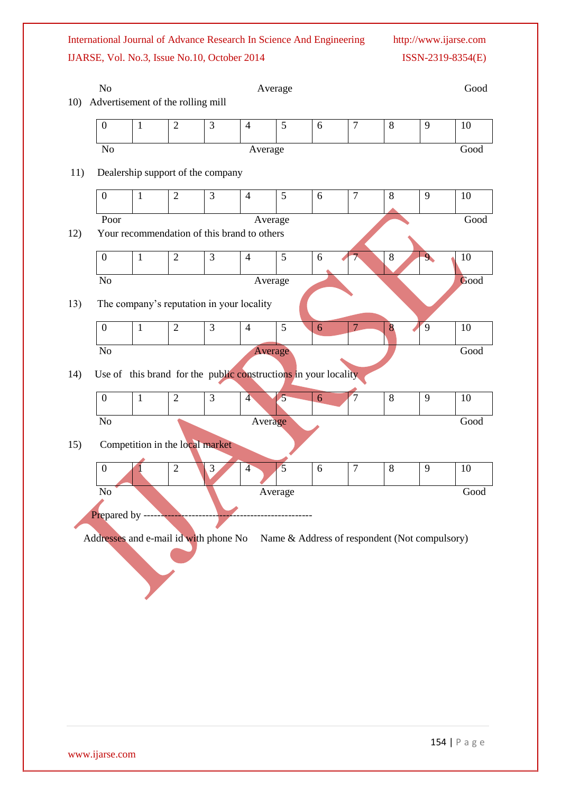International Journal of Advance Research In Science And Engineering http://www.ijarse.com

IJARSE, Vol. No.3, Issue No.10, October 2014 ISSN-2319-8354(E)

| 10)                                                                                    | N <sub>o</sub><br>Average<br>Advertisement of the rolling mill                                                        |                                 |                |                                                                 |                |                |   |                | Good  |                |      |
|----------------------------------------------------------------------------------------|-----------------------------------------------------------------------------------------------------------------------|---------------------------------|----------------|-----------------------------------------------------------------|----------------|----------------|---|----------------|-------|----------------|------|
|                                                                                        | $\boldsymbol{0}$                                                                                                      | $\mathbf{1}$                    | $\overline{2}$ | 3                                                               | $\overline{4}$ | 5              | 6 | $\overline{7}$ | $8\,$ | 9              | 10   |
|                                                                                        | $\rm No$<br>Average                                                                                                   |                                 |                |                                                                 |                |                |   |                |       |                | Good |
| 11)                                                                                    | Dealership support of the company                                                                                     |                                 |                |                                                                 |                |                |   |                |       |                |      |
|                                                                                        | $\overline{3}$<br>$\mathbf{2}$<br>5<br>$\overline{7}$<br>$\boldsymbol{0}$<br>$\mathbf{1}$<br>$\overline{4}$<br>8<br>6 |                                 |                |                                                                 |                |                |   |                | 9     | 10             |      |
|                                                                                        |                                                                                                                       |                                 |                |                                                                 |                |                |   |                |       |                |      |
| 12)                                                                                    | Poor<br>Average                                                                                                       |                                 |                |                                                                 |                |                |   |                |       | Good           |      |
|                                                                                        | Your recommendation of this brand to others                                                                           |                                 |                |                                                                 |                |                |   |                |       |                |      |
|                                                                                        | $\boldsymbol{0}$                                                                                                      | $\mathbf{1}$                    | $\overline{c}$ | $\overline{3}$                                                  | $\overline{4}$ | 5              | 6 | $7\phantom{.}$ | $8\,$ | 9              | 10   |
|                                                                                        | No                                                                                                                    |                                 |                |                                                                 | Average        |                |   |                |       |                | Good |
| 13)                                                                                    |                                                                                                                       |                                 |                | The company's reputation in your locality                       |                |                |   |                |       |                |      |
|                                                                                        | $\boldsymbol{0}$                                                                                                      | $\mathbf{1}$                    | $\mathbf{2}$   | 3                                                               | $\overline{4}$ | 5              | 6 | $\overline{7}$ | 8     | $\overline{9}$ | 10   |
|                                                                                        |                                                                                                                       |                                 |                |                                                                 |                |                |   |                |       |                |      |
|                                                                                        | No<br>Good<br>Average                                                                                                 |                                 |                |                                                                 |                |                |   |                |       |                |      |
| 14)                                                                                    |                                                                                                                       |                                 |                | Use of this brand for the public constructions in your locality |                |                |   |                |       |                |      |
|                                                                                        | $\boldsymbol{0}$                                                                                                      | $\mathbf{1}$                    | $\sqrt{2}$     | 3                                                               | $\overline{4}$ | $\sqrt{5}$     | 6 | $\overline{7}$ | $8\,$ | 9              | 10   |
|                                                                                        | $\rm No$                                                                                                              |                                 |                |                                                                 |                |                |   |                |       |                | Good |
|                                                                                        | Average                                                                                                               |                                 |                |                                                                 |                |                |   |                |       |                |      |
| 15)                                                                                    |                                                                                                                       | Competition in the local market |                |                                                                 |                |                |   |                |       |                |      |
|                                                                                        | $\boldsymbol{0}$                                                                                                      |                                 | $\sqrt{2}$     | $\mathfrak{Z}$                                                  | $\overline{4}$ | $\overline{5}$ | 6 | $\overline{7}$ | $8\,$ | 9              | 10   |
|                                                                                        | No                                                                                                                    |                                 |                |                                                                 |                | Average        |   |                |       |                | Good |
|                                                                                        |                                                                                                                       |                                 |                |                                                                 |                |                |   |                |       |                |      |
| Prepared by -----                                                                      |                                                                                                                       |                                 |                |                                                                 |                |                |   |                |       |                |      |
| Addresses and e-mail id with phone No<br>Name & Address of respondent (Not compulsory) |                                                                                                                       |                                 |                |                                                                 |                |                |   |                |       |                |      |
|                                                                                        |                                                                                                                       |                                 |                |                                                                 |                |                |   |                |       |                |      |
|                                                                                        |                                                                                                                       |                                 |                |                                                                 |                |                |   |                |       |                |      |
|                                                                                        |                                                                                                                       |                                 |                |                                                                 |                |                |   |                |       |                |      |
|                                                                                        |                                                                                                                       |                                 |                |                                                                 |                |                |   |                |       |                |      |
|                                                                                        |                                                                                                                       |                                 |                |                                                                 |                |                |   |                |       |                |      |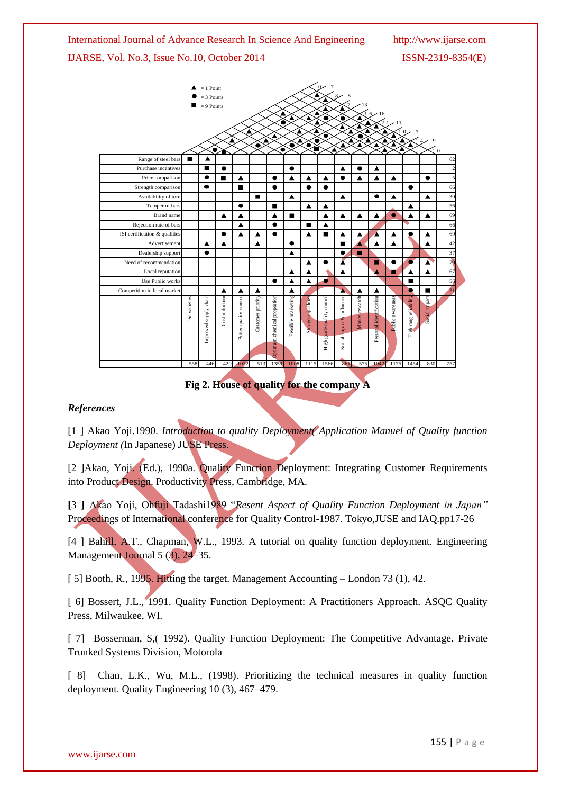

**Fig 2. House of quality for the company A**

#### *References*

[1 ] Akao Yoji.1990. *Introduction to quality Deployment( Application Manuel of Quality function Deployment (*In Japanese) JUSE Press.

[2 ]Akao, Yoji. (Ed.), 1990a. Quality Function Deployment: Integrating Customer Requirements into Product Design. Productivity Press, Cambridge, MA.

**[**3 **]** Akao Yoji, Ohfuji Tadashi1989 "*Resent Aspect of Quality Function Deployment in Japan"*  Proceedings of International conference for Quality Control-1987. Tokyo,JUSE and IAQ.pp17-26

[4 ] Bahill, A.T., Chapman, W.L., 1993. A tutorial on quality function deployment. Engineering Management Journal 5 (3), 24–35.

[ 5] Booth, R., 1995. Hitting the target. Management Accounting – London 73 (1), 42.

[ 6] Bossert, J.L., 1991. Quality Function Deployment: A Practitioners Approach. ASQC Quality Press, Milwaukee, WI.

[ 7] Bosserman, S, (1992). Quality Function Deployment: The Competitive Advantage. Private Trunked Systems Division, Motorola

[ 8] Chan, L.K., Wu, M.L., (1998). Prioritizing the technical measures in quality function deployment. Quality Engineering 10 (3), 467–479.